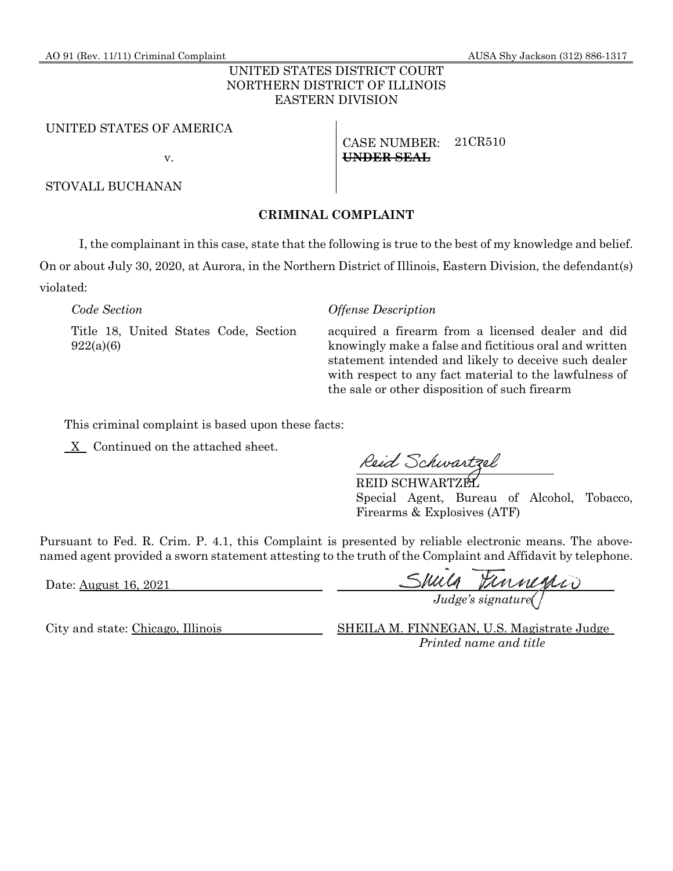#### AO 91 (Rev. 11/11) Criminal Complaint AUSA Shy Jackson (312) 886-1317

#### UNITED STATES DISTRICT COURT NORTHERN DISTRICT OF ILLINOIS EASTERN DIVISION

#### UNITED STATES OF AMERICA

v.

#### STOVALL BUCHANAN

#### **CRIMINAL COMPLAINT**

I, the complainant in this case, state that the following is true to the best of my knowledge and belief. On or about July 30, 2020, at Aurora, in the Northern District of Illinois, Eastern Division, the defendant(s) violated:

Title 18, United States Code, Section 922(a)(6)

CASE NUMBER: **UNDER SEAL**

*Code Section Offense Description*

acquired a firearm from a licensed dealer and did knowingly make a false and fictitious oral and written statement intended and likely to deceive such dealer with respect to any fact material to the lawfulness of the sale or other disposition of such firearm

21CR510

This criminal complaint is based upon these facts:

X Continued on the attached sheet.

REID SCHWARTZEL

Special Agent, Bureau of Alcohol, Tobacco, Firearms & Explosives (ATF)

Pursuant to Fed. R. Crim. P. 4.1, this Complaint is presented by reliable electronic means. The abovenamed agent provided a sworn statement attesting to the truth of the Complaint and Affidavit by telephone.

Date: August 16, 2021

*Judge's signature*

City and state: Chicago, Illinois SHEILA M. FINNEGAN, U.S. Magistrate Judge *Printed name and title*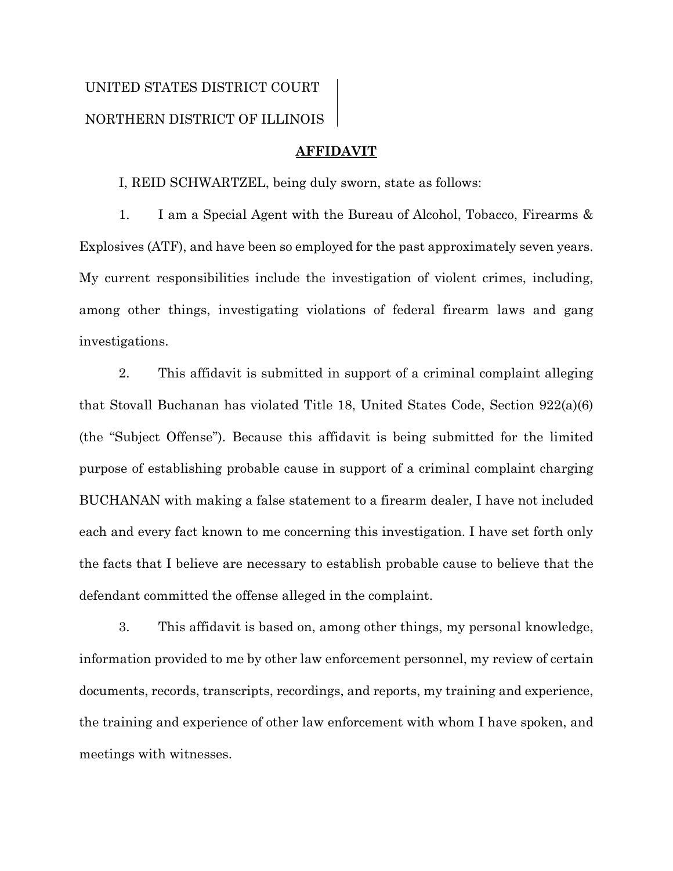# UNITED STATES DISTRICT COURT NORTHERN DISTRICT OF ILLINOIS

#### **AFFIDAVIT**

I, REID SCHWARTZEL, being duly sworn, state as follows:

1. I am a Special Agent with the Bureau of Alcohol, Tobacco, Firearms & Explosives (ATF), and have been so employed for the past approximately seven years. My current responsibilities include the investigation of violent crimes, including, among other things, investigating violations of federal firearm laws and gang investigations.

2. This affidavit is submitted in support of a criminal complaint alleging that Stovall Buchanan has violated Title 18, United States Code, Section 922(a)(6) (the "Subject Offense"). Because this affidavit is being submitted for the limited purpose of establishing probable cause in support of a criminal complaint charging BUCHANAN with making a false statement to a firearm dealer, I have not included each and every fact known to me concerning this investigation. I have set forth only the facts that I believe are necessary to establish probable cause to believe that the defendant committed the offense alleged in the complaint.

3. This affidavit is based on, among other things, my personal knowledge, information provided to me by other law enforcement personnel, my review of certain documents, records, transcripts, recordings, and reports, my training and experience, the training and experience of other law enforcement with whom I have spoken, and meetings with witnesses.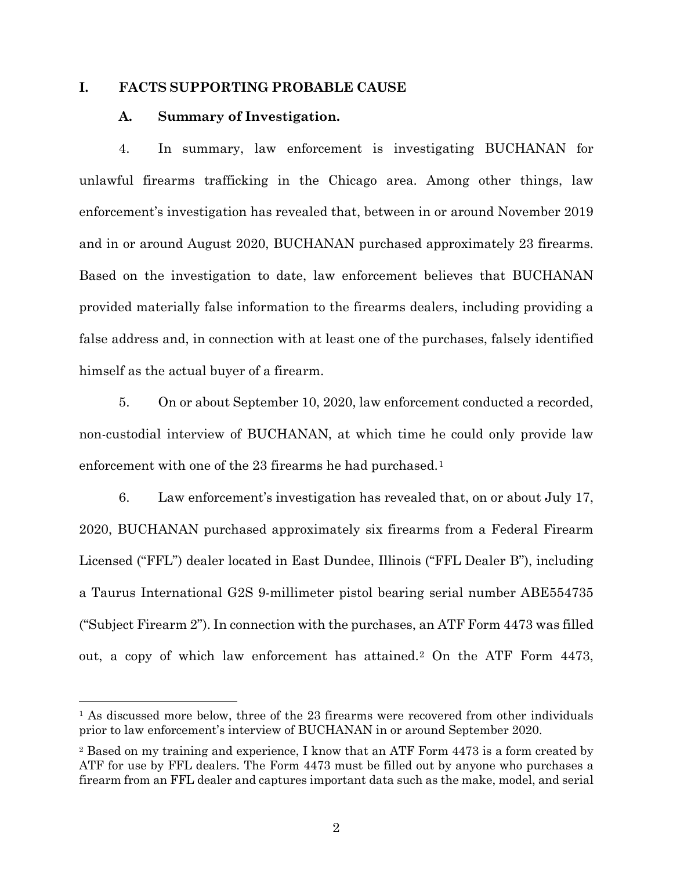#### **I. FACTS SUPPORTING PROBABLE CAUSE**

#### **A. Summary of Investigation.**

4. In summary, law enforcement is investigating BUCHANAN for unlawful firearms trafficking in the Chicago area. Among other things, law enforcement's investigation has revealed that, between in or around November 2019 and in or around August 2020, BUCHANAN purchased approximately 23 firearms. Based on the investigation to date, law enforcement believes that BUCHANAN provided materially false information to the firearms dealers, including providing a false address and, in connection with at least one of the purchases, falsely identified himself as the actual buyer of a firearm.

5. On or about September 10, 2020, law enforcement conducted a recorded, non-custodial interview of BUCHANAN, at which time he could only provide law enforcement with one of the 23 firearms he had purchased.<sup>[1](#page-2-0)</sup>

6. Law enforcement's investigation has revealed that, on or about July 17, 2020, BUCHANAN purchased approximately six firearms from a Federal Firearm Licensed ("FFL") dealer located in East Dundee, Illinois ("FFL Dealer B"), including a Taurus International G2S 9-millimeter pistol bearing serial number ABE554735 ("Subject Firearm 2"). In connection with the purchases, an ATF Form 4473 was filled out, a copy of which law enforcement has attained.[2](#page-2-1) On the ATF Form 4473,

<span id="page-2-0"></span> $<sup>1</sup>$  As discussed more below, three of the 23 firearms were recovered from other individuals</sup> prior to law enforcement's interview of BUCHANAN in or around September 2020.

<span id="page-2-1"></span><sup>2</sup> Based on my training and experience, I know that an ATF Form 4473 is a form created by ATF for use by FFL dealers. The Form 4473 must be filled out by anyone who purchases a firearm from an FFL dealer and captures important data such as the make, model, and serial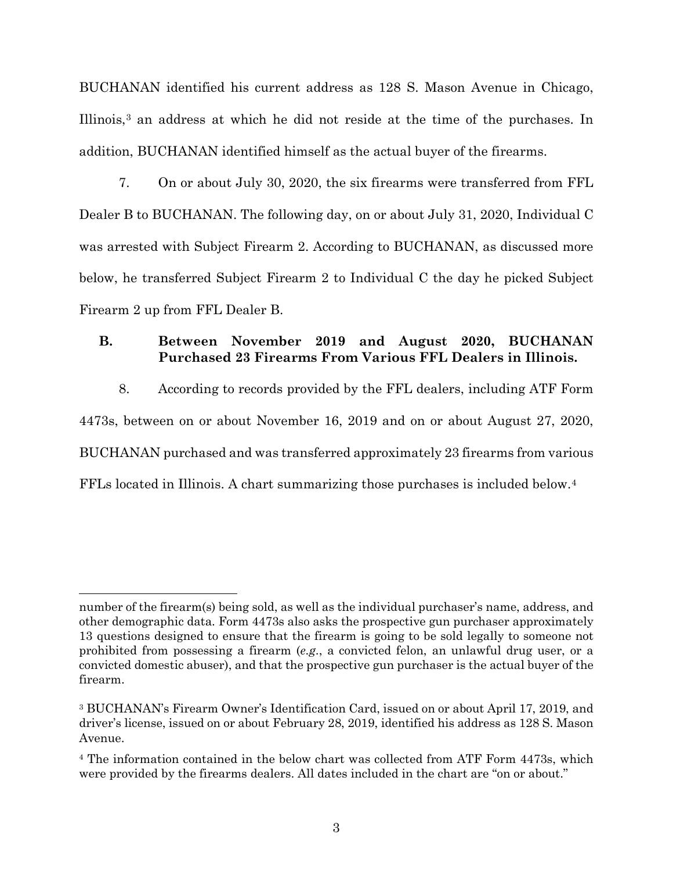BUCHANAN identified his current address as 128 S. Mason Avenue in Chicago, Illinois,[3](#page-3-0) an address at which he did not reside at the time of the purchases. In addition, BUCHANAN identified himself as the actual buyer of the firearms.

7. On or about July 30, 2020, the six firearms were transferred from FFL Dealer B to BUCHANAN. The following day, on or about July 31, 2020, Individual C was arrested with Subject Firearm 2. According to BUCHANAN, as discussed more below, he transferred Subject Firearm 2 to Individual C the day he picked Subject Firearm 2 up from FFL Dealer B.

# **B. Between November 2019 and August 2020, BUCHANAN Purchased 23 Firearms From Various FFL Dealers in Illinois.**

8. According to records provided by the FFL dealers, including ATF Form 4473s, between on or about November 16, 2019 and on or about August 27, 2020, BUCHANAN purchased and was transferred approximately 23 firearms from various FFLs located in Illinois. A chart summarizing those purchases is included below.[4](#page-3-1)

number of the firearm(s) being sold, as well as the individual purchaser's name, address, and other demographic data. Form 4473s also asks the prospective gun purchaser approximately 13 questions designed to ensure that the firearm is going to be sold legally to someone not prohibited from possessing a firearm (*e.g*., a convicted felon, an unlawful drug user, or a convicted domestic abuser), and that the prospective gun purchaser is the actual buyer of the firearm.

<span id="page-3-0"></span><sup>3</sup> BUCHANAN's Firearm Owner's Identification Card, issued on or about April 17, 2019, and driver's license, issued on or about February 28, 2019, identified his address as 128 S. Mason Avenue.

<span id="page-3-1"></span><sup>4</sup> The information contained in the below chart was collected from ATF Form 4473s, which were provided by the firearms dealers. All dates included in the chart are "on or about."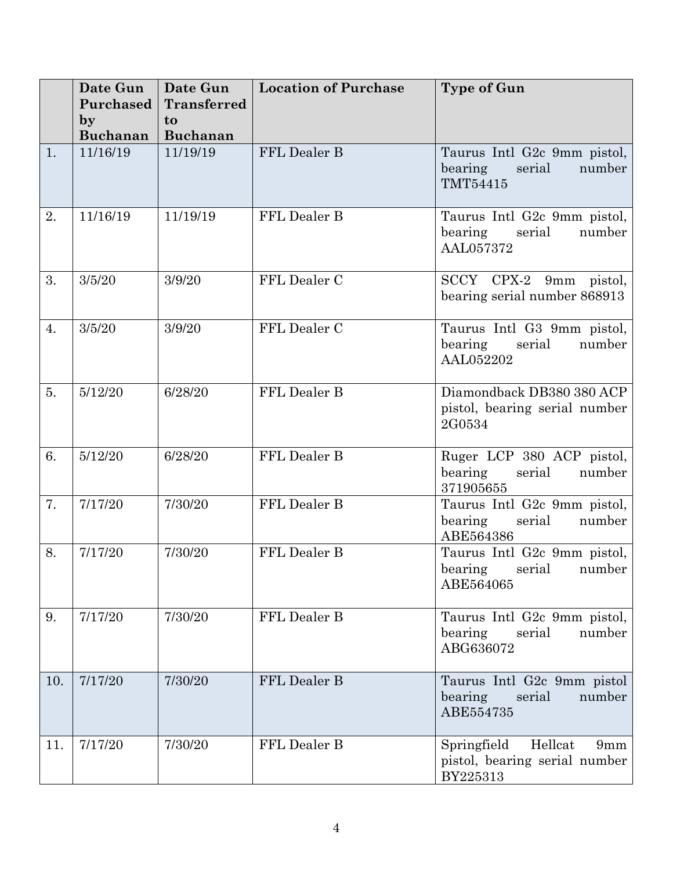|     | Date Gun<br>Purchased           | Date Gun<br><b>Transferred</b> | <b>Location of Purchase</b> | <b>Type of Gun</b>                                                         |  |  |
|-----|---------------------------------|--------------------------------|-----------------------------|----------------------------------------------------------------------------|--|--|
|     | $\mathbf{b}$<br><b>Buchanan</b> | to<br><b>Buchanan</b>          |                             |                                                                            |  |  |
| 1.  | 11/16/19                        | 11/19/19                       | FFL Dealer B                | Taurus Intl G2c 9mm pistol,<br>bearing<br>serial<br>number<br>TMT54415     |  |  |
| 2.  | 11/16/19                        | 11/19/19                       | FFL Dealer B                | Taurus Intl G2c 9mm pistol,<br>bearing<br>serial<br>number<br>AAL057372    |  |  |
| 3.  | 3/5/20                          | 3/9/20                         | FFL Dealer C                | SCCY CPX-2 9mm<br>pistol,<br>bearing serial number 868913                  |  |  |
| 4.  | 3/5/20                          | 3/9/20                         | FFL Dealer C                | Taurus Intl G3 9mm pistol,<br>bearing<br>serial<br>number<br>AAL052202     |  |  |
| 5.  | 5/12/20                         | 6/28/20                        | FFL Dealer B                | Diamondback DB380 380 ACP<br>pistol, bearing serial number<br>2G0534       |  |  |
| 6.  | 5/12/20                         | 6/28/20                        | FFL Dealer B                | Ruger LCP 380 ACP pistol,<br>bearing<br>serial<br>number<br>371905655      |  |  |
| 7.  | 7/17/20                         | 7/30/20                        | FFL Dealer B                | Taurus Intl G2c 9mm pistol,<br>bearing<br>serial<br>number<br>ABE564386    |  |  |
| 8.  | 7/17/20                         | 7/30/20                        | FFL Dealer B                | Taurus Intl G2c 9mm pistol,<br>bearing serial number<br>ABE564065          |  |  |
| 9.  | 7/17/20                         | 7/30/20                        | FFL Dealer B                | Taurus Intl G2c 9mm pistol,<br>bearing<br>serial<br>number<br>ABG636072    |  |  |
| 10. | 7/17/20                         | 7/30/20                        | FFL Dealer B                | Taurus Intl G2c 9mm pistol<br>number<br>bearing<br>serial<br>ABE554735     |  |  |
| 11. | 7/17/20                         | 7/30/20                        | FFL Dealer B                | Hellcat<br>Springfield<br>9mm<br>pistol, bearing serial number<br>BY225313 |  |  |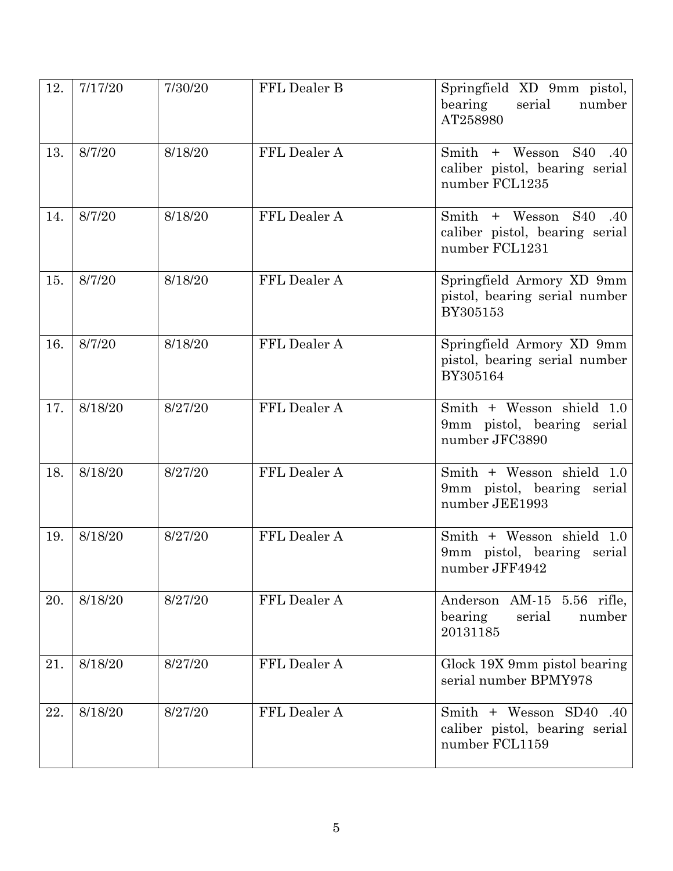| 12. | 7/17/20 | 7/30/20 | FFL Dealer B | Springfield XD 9mm pistol,<br>number<br>bearing<br>serial<br>AT258980        |
|-----|---------|---------|--------------|------------------------------------------------------------------------------|
| 13. | 8/7/20  | 8/18/20 | FFL Dealer A | Smith + Wesson S40 .40<br>caliber pistol, bearing serial<br>number FCL1235   |
| 14. | 8/7/20  | 8/18/20 | FFL Dealer A | Smith + Wesson $S40$ .40<br>caliber pistol, bearing serial<br>number FCL1231 |
| 15. | 8/7/20  | 8/18/20 | FFL Dealer A | Springfield Armory XD 9mm<br>pistol, bearing serial number<br>BY305153       |
| 16. | 8/7/20  | 8/18/20 | FFL Dealer A | Springfield Armory XD 9mm<br>pistol, bearing serial number<br>BY305164       |
| 17. | 8/18/20 | 8/27/20 | FFL Dealer A | Smith + Wesson shield 1.0<br>9mm pistol, bearing serial<br>number JFC3890    |
| 18. | 8/18/20 | 8/27/20 | FFL Dealer A | Smith + Wesson shield 1.0<br>9mm pistol, bearing serial<br>number JEE1993    |
| 19. | 8/18/20 | 8/27/20 | FFL Dealer A | Smith + Wesson shield 1.0<br>9mm pistol, bearing serial<br>number JFF4942    |
| 20. | 8/18/20 | 8/27/20 | FFL Dealer A | Anderson AM-15 5.56 rifle,<br>bearing<br>serial<br>number<br>20131185        |
| 21. | 8/18/20 | 8/27/20 | FFL Dealer A | Glock 19X 9mm pistol bearing<br>serial number BPMY978                        |
| 22. | 8/18/20 | 8/27/20 | FFL Dealer A | Smith + Wesson SD40 .40<br>caliber pistol, bearing serial<br>number FCL1159  |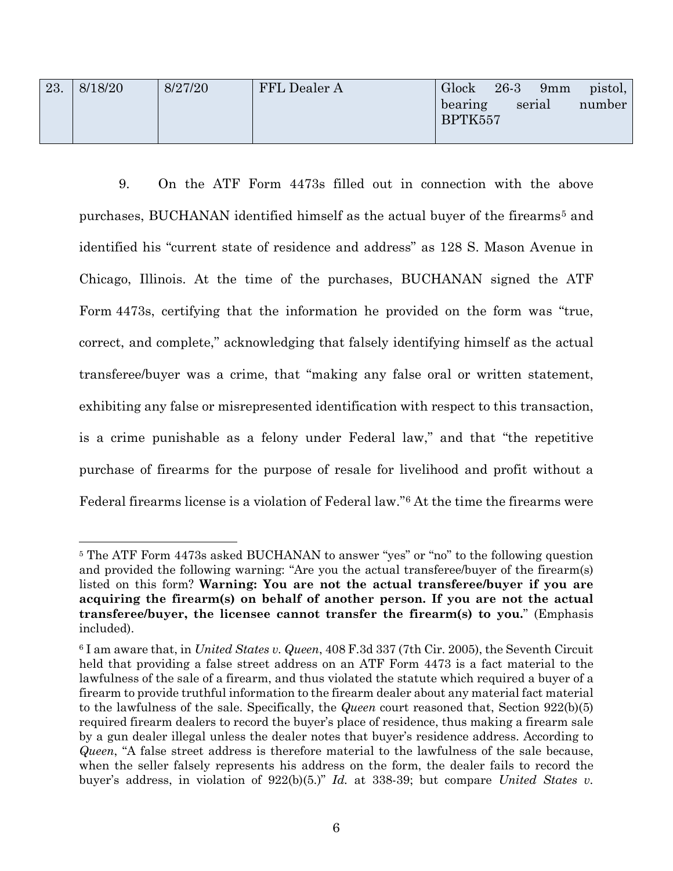| 23. | 8/18/20 | 8/27/20 | FFL Dealer A | Glock   | $26-3$ | 9 <sub>mm</sub> | pistol, |
|-----|---------|---------|--------------|---------|--------|-----------------|---------|
|     |         |         |              | bearing |        | serial          | number  |
|     |         |         |              | BPTK557 |        |                 |         |
|     |         |         |              |         |        |                 |         |

9. On the ATF Form 4473s filled out in connection with the above purchases, BUCHANAN identified himself as the actual buyer of the firearms<sup>[5](#page-6-0)</sup> and identified his "current state of residence and address" as 128 S. Mason Avenue in Chicago, Illinois. At the time of the purchases, BUCHANAN signed the ATF Form 4473s, certifying that the information he provided on the form was "true, correct, and complete," acknowledging that falsely identifying himself as the actual transferee/buyer was a crime, that "making any false oral or written statement, exhibiting any false or misrepresented identification with respect to this transaction, is a crime punishable as a felony under Federal law," and that "the repetitive purchase of firearms for the purpose of resale for livelihood and profit without a Federal firearms license is a violation of Federal law."[6](#page-6-1) At the time the firearms were

<span id="page-6-0"></span><sup>5</sup> The ATF Form 4473s asked BUCHANAN to answer "yes" or "no" to the following question and provided the following warning: "Are you the actual transferee/buyer of the firearm(s) listed on this form? **Warning: You are not the actual transferee/buyer if you are acquiring the firearm(s) on behalf of another person. If you are not the actual transferee/buyer, the licensee cannot transfer the firearm(s) to you.**" (Emphasis included).

<span id="page-6-1"></span><sup>6</sup> I am aware that, in *United States v. Queen*, 408 F.3d 337 (7th Cir. 2005), the Seventh Circuit held that providing a false street address on an ATF Form 4473 is a fact material to the lawfulness of the sale of a firearm, and thus violated the statute which required a buyer of a firearm to provide truthful information to the firearm dealer about any material fact material to the lawfulness of the sale. Specifically, the *Queen* court reasoned that, Section 922(b)(5) required firearm dealers to record the buyer's place of residence, thus making a firearm sale by a gun dealer illegal unless the dealer notes that buyer's residence address. According to *Queen*, "A false street address is therefore material to the lawfulness of the sale because, when the seller falsely represents his address on the form, the dealer fails to record the buyer's address, in violation of 922(b)(5.)" *Id.* at 338-39; but compare *United States v.*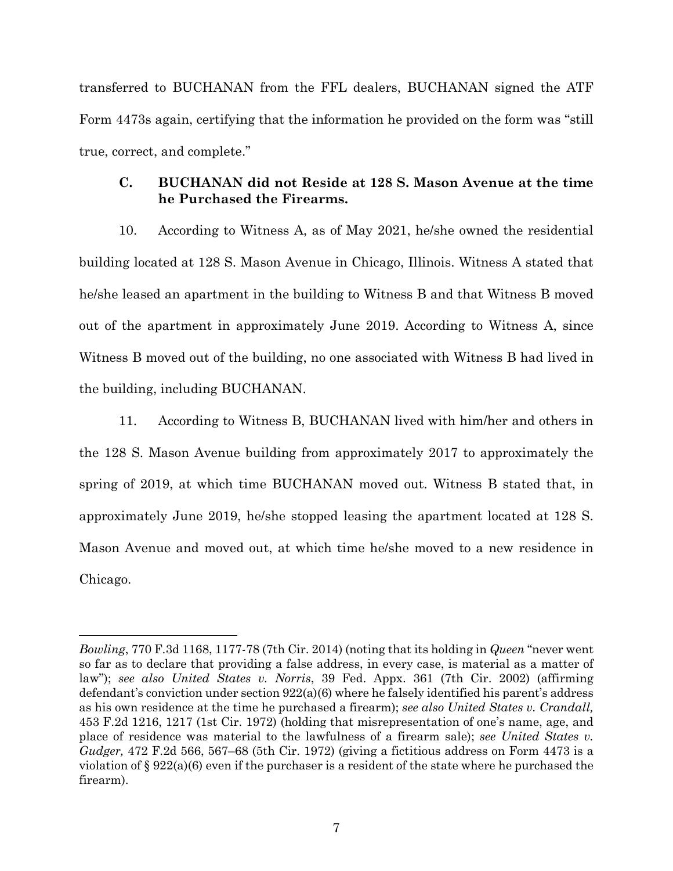transferred to BUCHANAN from the FFL dealers, BUCHANAN signed the ATF Form 4473s again, certifying that the information he provided on the form was "still true, correct, and complete."

# **C. BUCHANAN did not Reside at 128 S. Mason Avenue at the time he Purchased the Firearms.**

10. According to Witness A, as of May 2021, he/she owned the residential building located at 128 S. Mason Avenue in Chicago, Illinois. Witness A stated that he/she leased an apartment in the building to Witness B and that Witness B moved out of the apartment in approximately June 2019. According to Witness A, since Witness B moved out of the building, no one associated with Witness B had lived in the building, including BUCHANAN.

11. According to Witness B, BUCHANAN lived with him/her and others in the 128 S. Mason Avenue building from approximately 2017 to approximately the spring of 2019, at which time BUCHANAN moved out. Witness B stated that, in approximately June 2019, he/she stopped leasing the apartment located at 128 S. Mason Avenue and moved out, at which time he/she moved to a new residence in Chicago.

*Bowling*, 770 F.3d 1168, 1177-78 (7th Cir. 2014) (noting that its holding in *Queen* "never went so far as to declare that providing a false address, in every case, is material as a matter of law"); *see also United States v. Norris*, 39 Fed. Appx. 361 (7th Cir. 2002) (affirming defendant's conviction under section  $922(a)(6)$  where he falsely identified his parent's address as his own residence at the time he purchased a firearm); *see also United States v. Crandall,* 453 F.2d 1216, 1217 (1st Cir. 1972) (holding that misrepresentation of one's name, age, and place of residence was material to the lawfulness of a firearm sale); *see [United States v.](https://1.next.westlaw.com/Link/Document/FullText?findType=Y&serNum=1972113484&pubNum=0000350&originatingDoc=I5e7517775f3d11dfa7ada84b8dc24cbf&refType=RP&fi=co_pp_sp_350_567&originationContext=document&transitionType=DocumentItem&contextData=(sc.Search)#co_pp_sp_350_567)  Gudger,* [472 F.2d 566, 567–68 \(5th Cir. 1972\)](https://1.next.westlaw.com/Link/Document/FullText?findType=Y&serNum=1972113484&pubNum=0000350&originatingDoc=I5e7517775f3d11dfa7ada84b8dc24cbf&refType=RP&fi=co_pp_sp_350_567&originationContext=document&transitionType=DocumentItem&contextData=(sc.Search)#co_pp_sp_350_567) (giving a fictitious address on Form 4473 is a violation of  $\S 922(a)(6)$  even if the purchaser is a resident of the state where he purchased the firearm).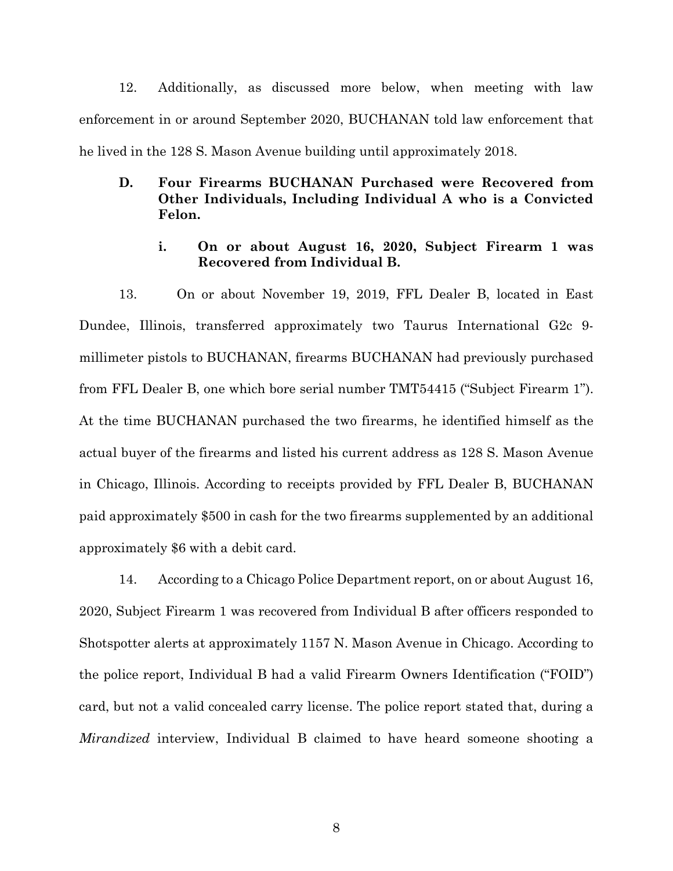12. Additionally, as discussed more below, when meeting with law enforcement in or around September 2020, BUCHANAN told law enforcement that he lived in the 128 S. Mason Avenue building until approximately 2018.

# **D. Four Firearms BUCHANAN Purchased were Recovered from Other Individuals, Including Individual A who is a Convicted Felon.**

## **i. On or about August 16, 2020, Subject Firearm 1 was Recovered from Individual B.**

13. On or about November 19, 2019, FFL Dealer B, located in East Dundee, Illinois, transferred approximately two Taurus International G2c 9 millimeter pistols to BUCHANAN, firearms BUCHANAN had previously purchased from FFL Dealer B, one which bore serial number TMT54415 ("Subject Firearm 1"). At the time BUCHANAN purchased the two firearms, he identified himself as the actual buyer of the firearms and listed his current address as 128 S. Mason Avenue in Chicago, Illinois. According to receipts provided by FFL Dealer B, BUCHANAN paid approximately \$500 in cash for the two firearms supplemented by an additional approximately \$6 with a debit card.

14. According to a Chicago Police Department report, on or about August 16, 2020, Subject Firearm 1 was recovered from Individual B after officers responded to Shotspotter alerts at approximately 1157 N. Mason Avenue in Chicago. According to the police report, Individual B had a valid Firearm Owners Identification ("FOID") card, but not a valid concealed carry license. The police report stated that, during a *Mirandized* interview, Individual B claimed to have heard someone shooting a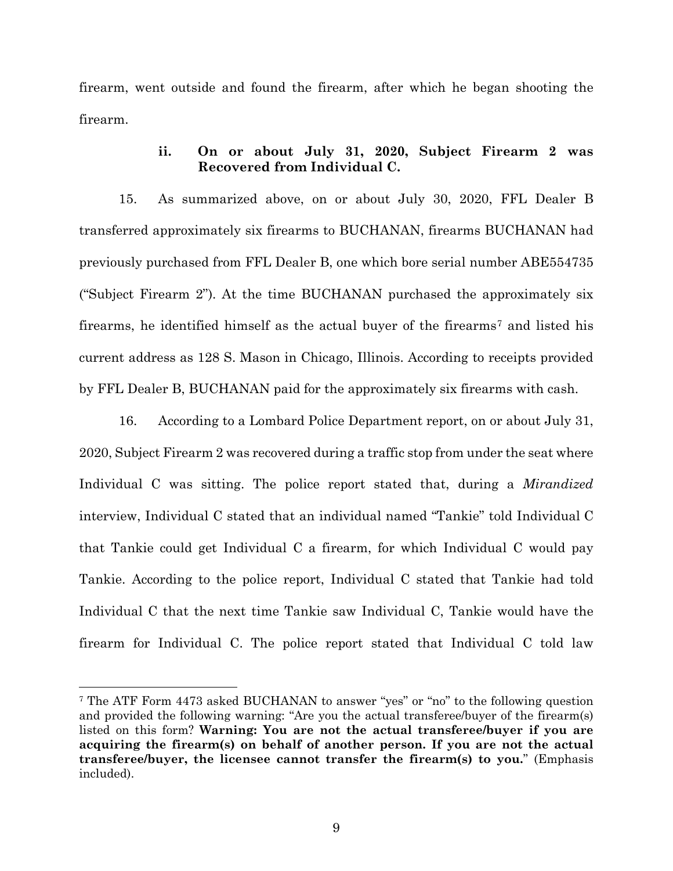firearm, went outside and found the firearm, after which he began shooting the firearm.

## **ii. On or about July 31, 2020, Subject Firearm 2 was Recovered from Individual C.**

15. As summarized above, on or about July 30, 2020, FFL Dealer B transferred approximately six firearms to BUCHANAN, firearms BUCHANAN had previously purchased from FFL Dealer B, one which bore serial number ABE554735 ("Subject Firearm 2"). At the time BUCHANAN purchased the approximately six firearms, he identified himself as the actual buyer of the firearms[7](#page-9-0) and listed his current address as 128 S. Mason in Chicago, Illinois. According to receipts provided by FFL Dealer B, BUCHANAN paid for the approximately six firearms with cash.

16. According to a Lombard Police Department report, on or about July 31, 2020, Subject Firearm 2 was recovered during a traffic stop from under the seat where Individual C was sitting. The police report stated that, during a *Mirandized*  interview, Individual C stated that an individual named "Tankie" told Individual C that Tankie could get Individual C a firearm, for which Individual C would pay Tankie. According to the police report, Individual C stated that Tankie had told Individual C that the next time Tankie saw Individual C, Tankie would have the firearm for Individual C. The police report stated that Individual C told law

<span id="page-9-0"></span><sup>7</sup> The ATF Form 4473 asked BUCHANAN to answer "yes" or "no" to the following question and provided the following warning: "Are you the actual transferee/buyer of the firearm(s) listed on this form? **Warning: You are not the actual transferee/buyer if you are acquiring the firearm(s) on behalf of another person. If you are not the actual transferee/buyer, the licensee cannot transfer the firearm(s) to you.**" (Emphasis included).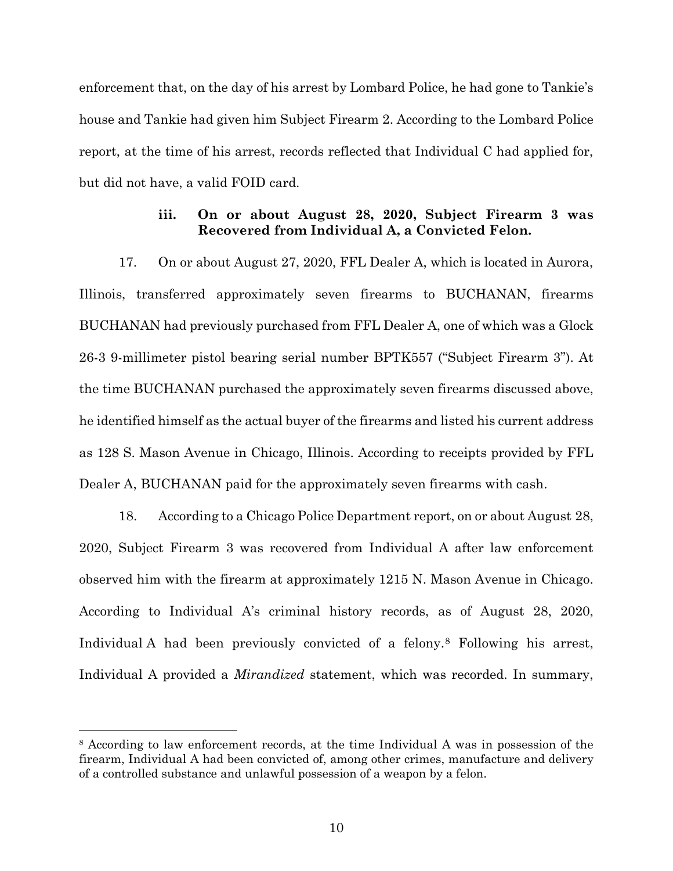enforcement that, on the day of his arrest by Lombard Police, he had gone to Tankie's house and Tankie had given him Subject Firearm 2. According to the Lombard Police report, at the time of his arrest, records reflected that Individual C had applied for, but did not have, a valid FOID card.

# **iii. On or about August 28, 2020, Subject Firearm 3 was Recovered from Individual A, a Convicted Felon.**

17. On or about August 27, 2020, FFL Dealer A, which is located in Aurora, Illinois, transferred approximately seven firearms to BUCHANAN, firearms BUCHANAN had previously purchased from FFL Dealer A, one of which was a Glock 26-3 9-millimeter pistol bearing serial number BPTK557 ("Subject Firearm 3"). At the time BUCHANAN purchased the approximately seven firearms discussed above, he identified himself as the actual buyer of the firearms and listed his current address as 128 S. Mason Avenue in Chicago, Illinois. According to receipts provided by FFL Dealer A, BUCHANAN paid for the approximately seven firearms with cash.

18. According to a Chicago Police Department report, on or about August 28, 2020, Subject Firearm 3 was recovered from Individual A after law enforcement observed him with the firearm at approximately 1215 N. Mason Avenue in Chicago. According to Individual A's criminal history records, as of August 28, 2020, Individual A had been previously convicted of a felony.[8](#page-10-0) Following his arrest, Individual A provided a *Mirandized* statement, which was recorded. In summary,

<span id="page-10-0"></span><sup>8</sup> According to law enforcement records, at the time Individual A was in possession of the firearm, Individual A had been convicted of, among other crimes, manufacture and delivery of a controlled substance and unlawful possession of a weapon by a felon.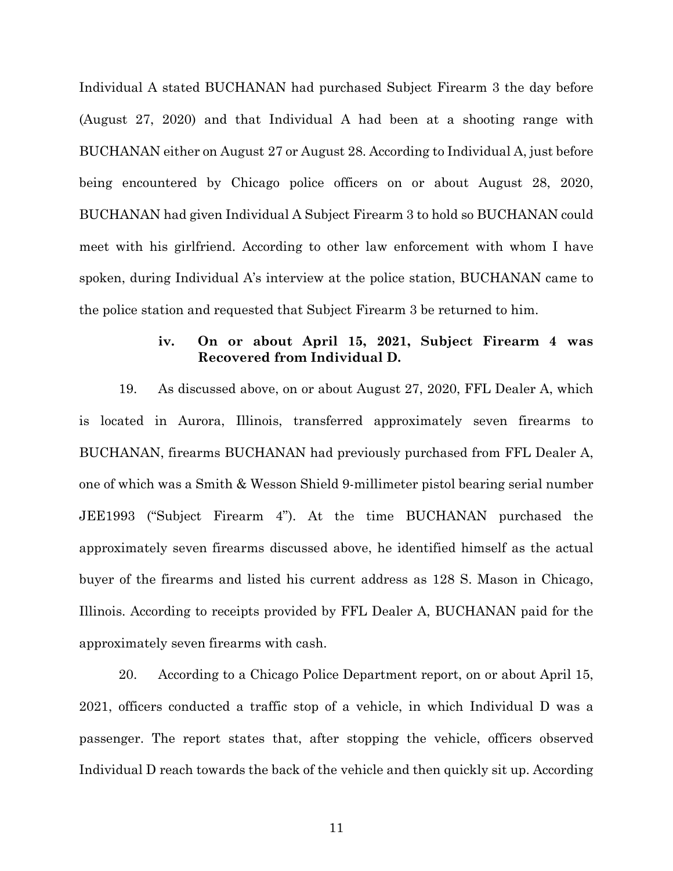Individual A stated BUCHANAN had purchased Subject Firearm 3 the day before (August 27, 2020) and that Individual A had been at a shooting range with BUCHANAN either on August 27 or August 28. According to Individual A, just before being encountered by Chicago police officers on or about August 28, 2020, BUCHANAN had given Individual A Subject Firearm 3 to hold so BUCHANAN could meet with his girlfriend. According to other law enforcement with whom I have spoken, during Individual A's interview at the police station, BUCHANAN came to the police station and requested that Subject Firearm 3 be returned to him.

## **iv. On or about April 15, 2021, Subject Firearm 4 was Recovered from Individual D.**

19. As discussed above, on or about August 27, 2020, FFL Dealer A, which is located in Aurora, Illinois, transferred approximately seven firearms to BUCHANAN, firearms BUCHANAN had previously purchased from FFL Dealer A, one of which was a Smith & Wesson Shield 9-millimeter pistol bearing serial number JEE1993 ("Subject Firearm 4"). At the time BUCHANAN purchased the approximately seven firearms discussed above, he identified himself as the actual buyer of the firearms and listed his current address as 128 S. Mason in Chicago, Illinois. According to receipts provided by FFL Dealer A, BUCHANAN paid for the approximately seven firearms with cash.

20. According to a Chicago Police Department report, on or about April 15, 2021, officers conducted a traffic stop of a vehicle, in which Individual D was a passenger. The report states that, after stopping the vehicle, officers observed Individual D reach towards the back of the vehicle and then quickly sit up. According

11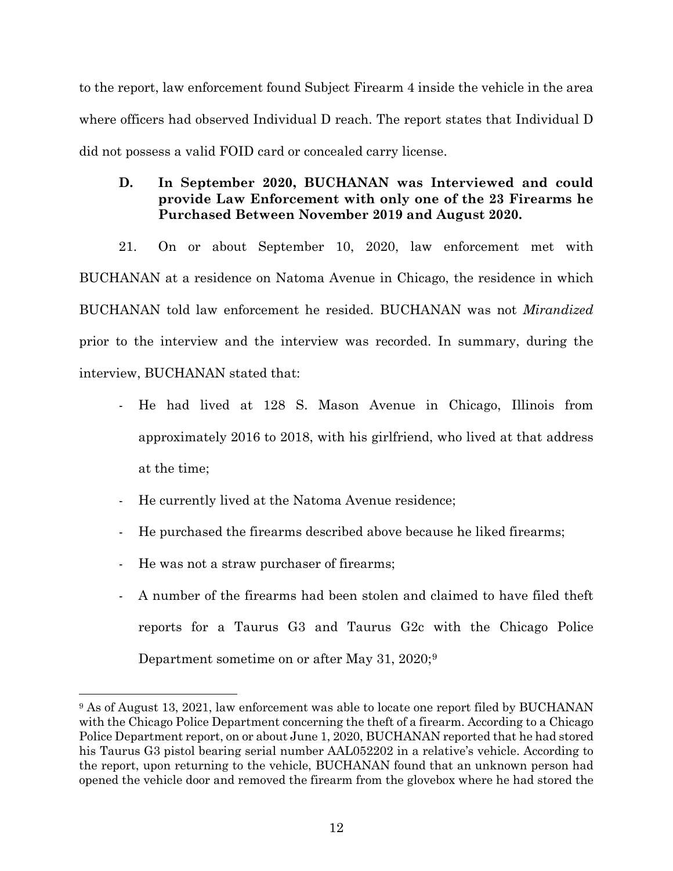to the report, law enforcement found Subject Firearm 4 inside the vehicle in the area where officers had observed Individual D reach. The report states that Individual D did not possess a valid FOID card or concealed carry license.

# **D. In September 2020, BUCHANAN was Interviewed and could provide Law Enforcement with only one of the 23 Firearms he Purchased Between November 2019 and August 2020.**

21. On or about September 10, 2020, law enforcement met with BUCHANAN at a residence on Natoma Avenue in Chicago, the residence in which BUCHANAN told law enforcement he resided. BUCHANAN was not *Mirandized* prior to the interview and the interview was recorded. In summary, during the interview, BUCHANAN stated that:

- He had lived at 128 S. Mason Avenue in Chicago, Illinois from approximately 2016 to 2018, with his girlfriend, who lived at that address at the time;
- He currently lived at the Natoma Avenue residence;
- He purchased the firearms described above because he liked firearms;
- He was not a straw purchaser of firearms;
- A number of the firearms had been stolen and claimed to have filed theft reports for a Taurus G3 and Taurus G2c with the Chicago Police Department sometime on or after May 31, 2020;<sup>[9](#page-12-0)</sup>

<span id="page-12-0"></span><sup>&</sup>lt;sup>9</sup> As of August 13, 2021, law enforcement was able to locate one report filed by BUCHANAN with the Chicago Police Department concerning the theft of a firearm. According to a Chicago Police Department report, on or about June 1, 2020, BUCHANAN reported that he had stored his Taurus G3 pistol bearing serial number AAL052202 in a relative's vehicle. According to the report, upon returning to the vehicle, BUCHANAN found that an unknown person had opened the vehicle door and removed the firearm from the glovebox where he had stored the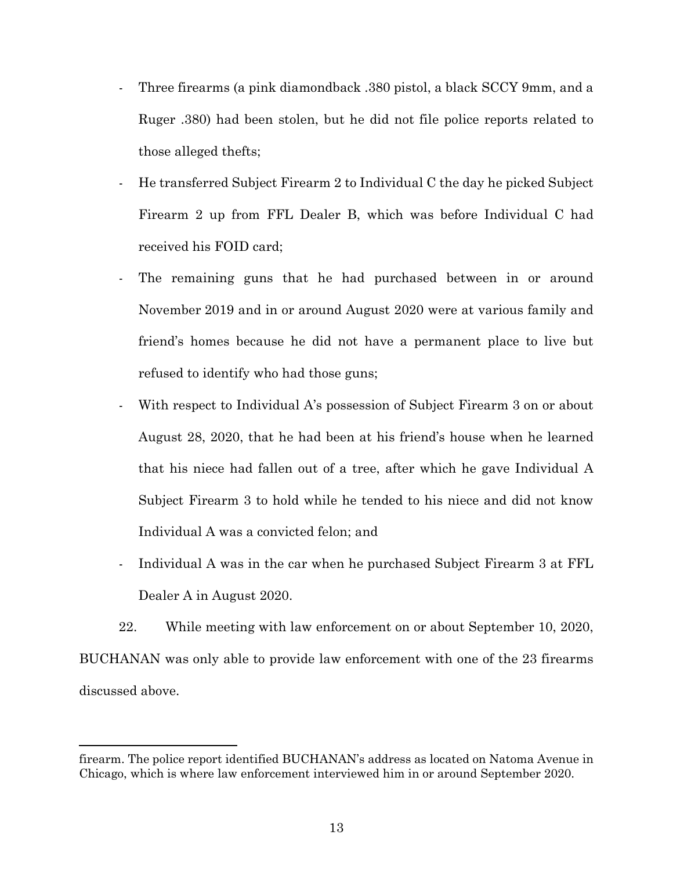- Three firearms (a pink diamondback .380 pistol, a black SCCY 9mm, and a Ruger .380) had been stolen, but he did not file police reports related to those alleged thefts;
- He transferred Subject Firearm 2 to Individual C the day he picked Subject Firearm 2 up from FFL Dealer B, which was before Individual C had received his FOID card;
- The remaining guns that he had purchased between in or around November 2019 and in or around August 2020 were at various family and friend's homes because he did not have a permanent place to live but refused to identify who had those guns;
- With respect to Individual A's possession of Subject Firearm 3 on or about August 28, 2020, that he had been at his friend's house when he learned that his niece had fallen out of a tree, after which he gave Individual A Subject Firearm 3 to hold while he tended to his niece and did not know Individual A was a convicted felon; and
- Individual A was in the car when he purchased Subject Firearm 3 at FFL Dealer A in August 2020.

22. While meeting with law enforcement on or about September 10, 2020, BUCHANAN was only able to provide law enforcement with one of the 23 firearms discussed above.

firearm. The police report identified BUCHANAN's address as located on Natoma Avenue in Chicago, which is where law enforcement interviewed him in or around September 2020.